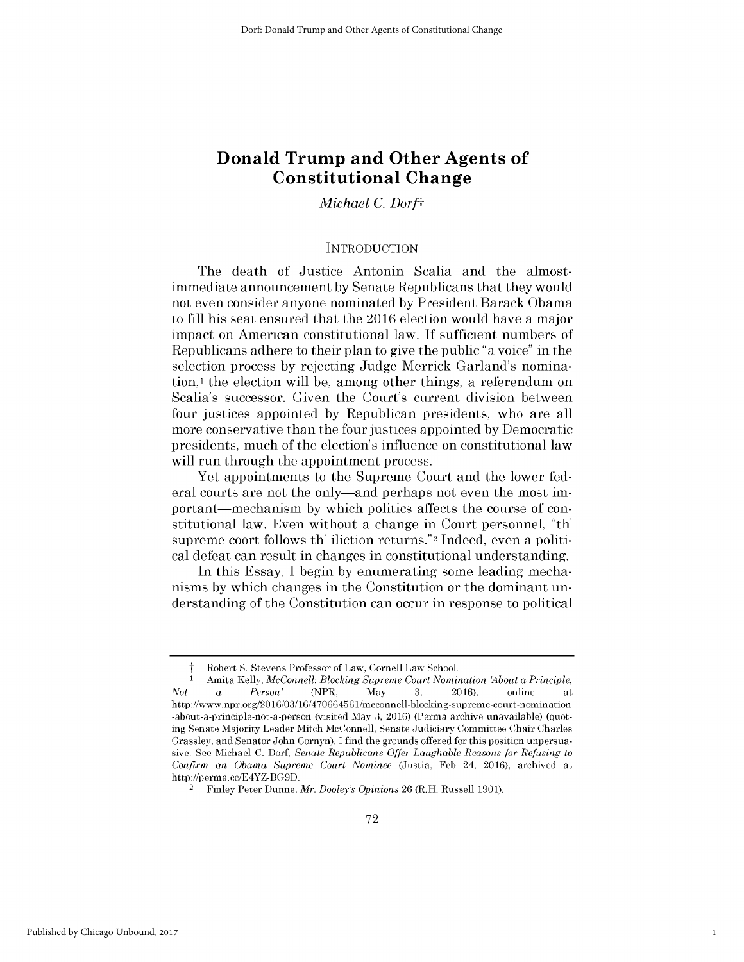# **Donald Trump and Other Agents of Constitutional Change**

# *Michael C. Dorft*

#### **INTRODUCTION**

The death of Justice Antonin Scalia and the almostimmediate announcement **by** Senate Republicans that they would not even consider anyone nominated **by** President Barack Obama to **fill** his seat ensured that the **2016** election would have a major impact on American constitutional law. **If** sufficient numbers of Republicans adhere to their plan to give the public "a voice" in the selection process **by** rejecting Judge Merrick Garland's nomination, **I** the election will be, among other things, a referendum on Scalia's successor. Given the Court's current division between four justices appointed **by** Republican presidents, who are all more conservative than the four justices appointed **by** Democratic presidents, much of the election's influence on constitutional law will run through the appointment process.

Yet appointments to the Supreme Court and the lower federal courts are not the only—and perhaps not even the most important—mechanism by which politics affects the course of constitutional law. Even without a change in Court personnel, "th' supreme coort follows th' iliction returns."2 Indeed, even a political defeat can result in changes in constitutional understanding.

In this Essay, **I** begin **by** enumerating some leading mechanisms **by** which changes in the Constitution or the dominant understanding of the Constitution can occur in response to political

1

t Robert **S.** Stevens Professor of Law, Cornell Law School.

<sup>1</sup> Amita **Kelly,** *McConnell: Blocking Supreme Court Nomination About a Principle, Not a Person'* (NPR, May **3,** 2016), online at http://www.npr.org/2016/03/16/470664561/mcconnell-blocking-supreme-court-nomination -about-a-principle-not-a-person (visited May **3,** 2016) (Perma archive unavailable) (quoting Senate Majority Leader Mitch McConnell, Senate Judiciary Committee Chair Charles Grassley, and Senator John Cornyn). **I** find the grounds offered for this position unpersuasive. **See** Michael **C.** *Dorf, Senate Republicans Offer Laughable Reasons for Refusing to Confirm an Obama Supreme Court Nominee* (Justia, **Feb** 24, 2016), archived at http://perma.cc/E4YZ-BG9D.

<sup>2</sup>Finley Peter Dunne, *Mr. Dooley's Opinions* 26 (R.H. Russell **1901).**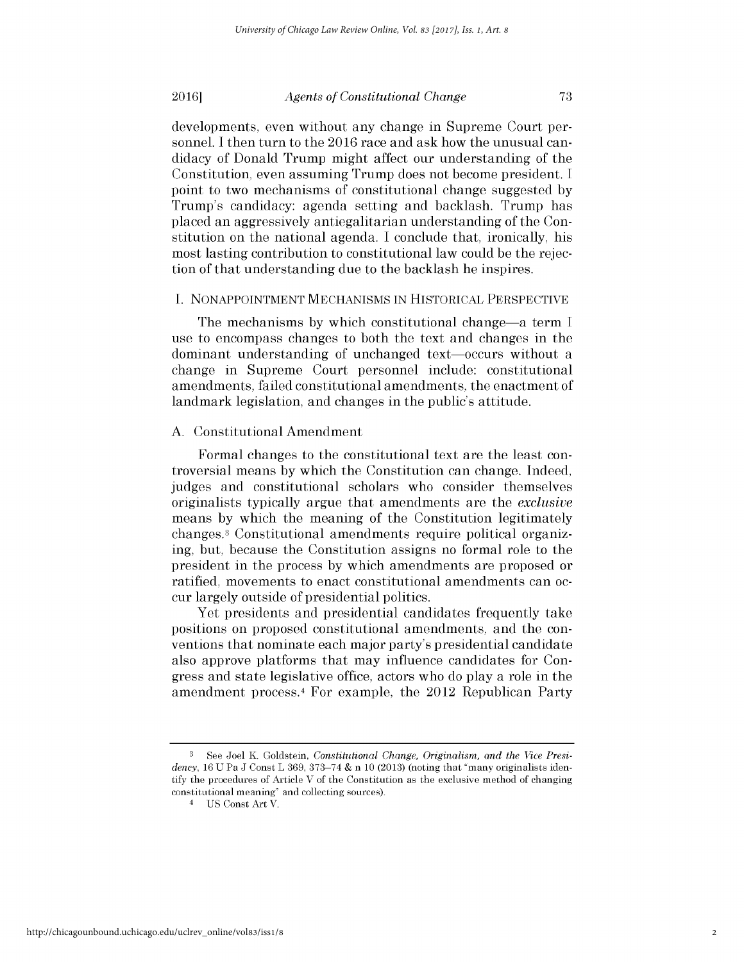developments, even without any change in Supreme Court personnel. **I** then turn to the **2016** race and ask how the unusual candidacy of Donald Trump might affect our understanding of the Constitution, even assuming Trump does not become president. **I** point to two mechanisms of constitutional change suggested **by** Trump's candidacy: agenda setting and backlash. Trump has placed an aggressively antiegalitarian understanding of the Constitution on the national agenda. **I** conclude that, ironically, his most lasting contribution to constitutional law could be the rejection of that understanding due to the backlash he inspires.

#### **I. NONAPPOINTMENT MECHANISMS IN** HISTORICAL PERSPECTIVE

The mechanisms **by** which constitutional change-a term **<sup>I</sup>** use to encompass changes to both the text and changes in the dominant understanding of unchanged text-occurs without a change in Supreme Court personnel include: constitutional amendments, failed constitutional amendments, the enactment of landmark legislation, and changes in the public's attitude.

### **A.** Constitutional Amendment

Formal changes to the constitutional text are the least controversial means **by** which the Constitution can change. Indeed, judges and constitutional scholars who consider themselves originalists typically argue that amendments are the *exclusive* means **by** which the meaning of the Constitution legitimately changes.3 Constitutional amendments require political organizing, but, because the Constitution assigns no formal role to the president in the process **by** which amendments are proposed or ratified, movements to enact constitutional amendments can occur largely outside of presidential politics.

Yet presidents and presidential candidates frequently take positions on proposed constitutional amendments, and the conventions that nominate each major party's presidential candidate also approve platforms that may influence candidates for Congress and state legislative office, actors who do play a role in the amendment process.<sup>4</sup>For example, the 2012 Republican Party

**<sup>3</sup>** See Joel K. Goldstein, *Constitutional Change, Originalism, and the Vice Presidency, 16* **U** Pa **J** Const L **369, 373-74 &** n **10 (2013)** (noting that "many originalists identify the procedures of Article V of the Constitution as the exclusive method of changing constitutional meaning" and collecting sources).

<sup>4</sup>**US** Const Art V.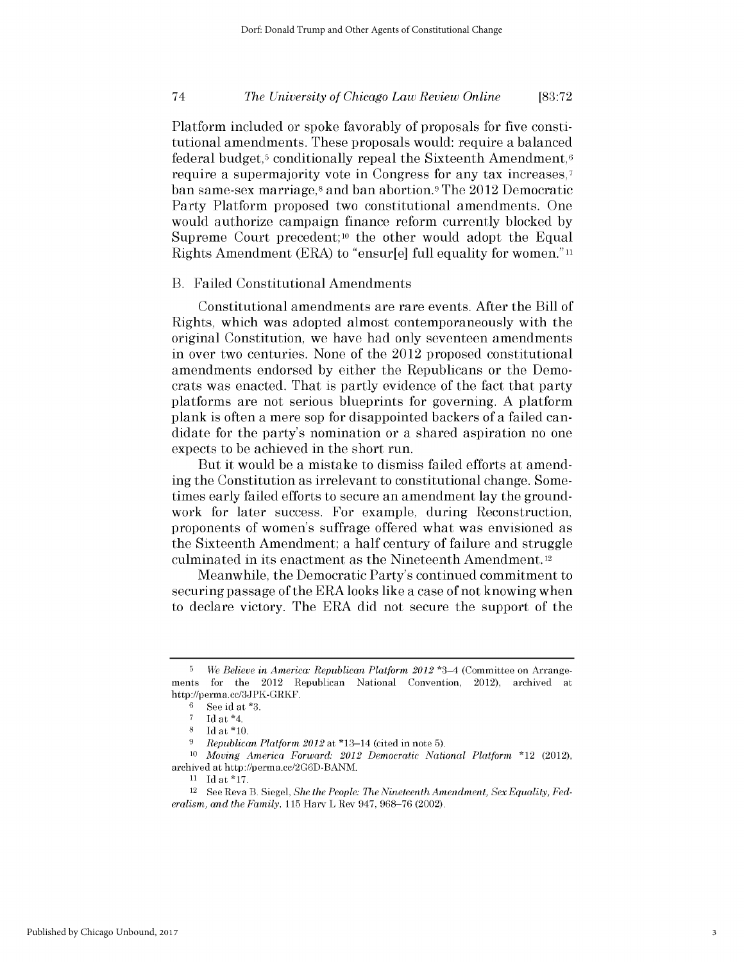### *The University of Chicago Law Review Online* 74 **[83:72**

Platform included or spoke favorably of proposals for five constitutional amendments. These proposals would: require a balanced federal budget,<sup>5</sup> conditionally repeal the Sixteenth Amendment,<sup>6</sup> require a supermajority vote in Congress for any tax increases,7 ban same-sex marriage,<sup>8</sup> and ban abortion.<sup>9</sup> The 2012 Democratic Party Platform proposed two constitutional amendments. One would authorize campaign finance reform currently blocked **by** Supreme Court precedent;<sup>10</sup> the other would adopt the Equal Rights Amendment (ERA) to "ensur[e] full equality for women.""

#### B. Failed Constitutional Amendments

Constitutional amendments are rare events. After the Bill of Rights, which was adopted almost contemporaneously with the original Constitution, we have had only seventeen amendments in over two centuries. None of the 2012 proposed constitutional amendments endorsed **by** either the Republicans or the Democrats was enacted. That is partly evidence of the fact that party platforms are not serious blueprints for governing. **A** platform plank is often a mere sop for disappointed backers of a failed candidate for the party's nomination or a shared aspiration no one expects to be achieved in the short run.

But it would be a mistake to dismiss failed efforts at amending the Constitution as irrelevant to constitutional change. Sometimes early failed efforts to secure an amendment lay the groundwork for later success. For example, during Reconstruction, proponents of women's suffrage offered what was envisioned as the Sixteenth Amendment; a half century of failure and struggle culminated in its enactment as the Nineteenth Amendment. <sup>12</sup>

Meanwhile, the Democratic Party's continued commitment to securing passage of the ERA looks like a case of not knowing when to declare victory. The ERA **did** not secure the support of the

**<sup>5</sup>** *We Believe in America: Republican Platform 2012* \*3-4 (Committee on Arrangements for the 2012 Republican National Convention, 2012), archived at http://perma.cc/3JPK-GRKF.

**<sup>6</sup>See** id at **\*3.**

 $\frac{7}{8}$  **Id at \*4.**<br>**8 Id at \*10** 

**<sup>8</sup>Id** at **\*10.**

**<sup>9</sup>** *Republican Platform 2012* at \*13-14 (cited in note **5).**

**<sup>10</sup>***Moving America Forward: 2012 Democratic National Platform* \*12 (2012), archived at http://perma.cc/2G6D-BANM.

**<sup>11</sup>**Idat\*17.

<sup>12</sup> See Reva B. Siegel, *She the People: The Nineteenth Amendment, Sex Equality, Federalism, and the Family,* **115** Harv L Rev 947, **968-76** (2002).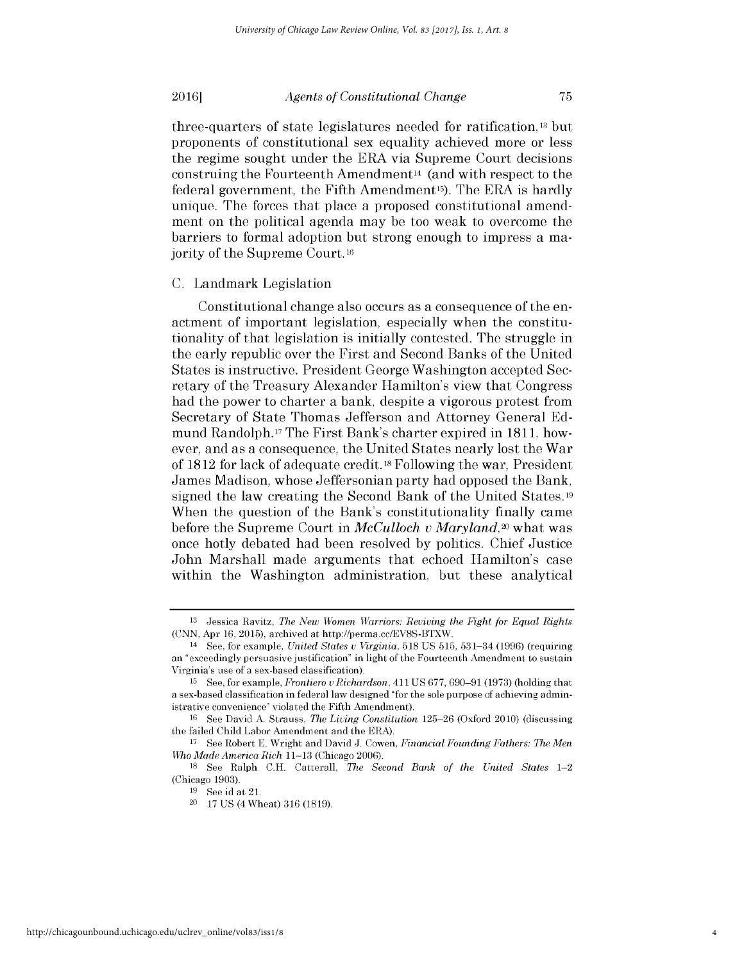three-quarters of state legislatures needed for ratification, **13** but proponents of constitutional sex equality achieved more or less the regime sought under the ERA via Supreme Court decisions construing the Fourteenth Amendment14 (and with respect to the federal government, the Fifth Amendment<sup>15</sup>). The ERA is hardly unique. The forces that place a proposed constitutional amendment on the political agenda may be too weak to overcome the barriers to formal adoption but strong enough to impress a majority of the Supreme Court. **<sup>16</sup>**

#### **C.** Landmark Legislation

Constitutional change also occurs as a consequence of the enactment of important legislation, especially when the constitutionality of that legislation is initially contested. The struggle in the early republic over the First and Second Banks of the United States is instructive. President George Washington accepted Secretary of the Treasury Alexander Hamilton's view that Congress had the power to charter a bank, despite a vigorous protest from Secretary of State Thomas Jefferson and Attorney General **Ed**mund Randolph. **17** The First Bank's charter expired in **1811,** however, and as a consequence, the United States nearly lost the War of **1812** for lack of adequate credit. **18** Following the war, President James Madison, whose Jeffersonian party had opposed the Bank, signed the law creating the Second Bank of the United States.19 When the question of the Bank's constitutionality finally came before the Supreme Court in *McCulloch v Maryland,20* what was once hotly debated had been resolved **by** politics. Chief Justice John Marshall made arguments that echoed Hamilton's case within the Washington administration, but these analytical

**<sup>13</sup>**Jessica Ravitz, *The New Women Warriors: Reviving the Fight for Equal Rights* **(CNN,** Apr **16, 2015),** archived at http://perma.cc/EV8S-BTXW.

<sup>14</sup>**See,** for example, *United States v Virginia,* **518 US 515,** 531-34 **(1996)** (requiring an "exceedingly persuasive justification" in light of the Fourteenth Amendment to sustain Virginia's use of a sex-based classification).

**<sup>15</sup>See,** for example, *Frontiero v Richardson,* 411 **US 677, 690-91 (1973)** (holding that a sex-based classification in federal law designed "for the sole purpose of achieving administrative convenience" violated the Fifth Amendment).

**<sup>16</sup>See** David **A.** Strauss, *The Living Constitution* **125-26** (Oxford 2010) (discussing the failed Child Labor Amendment and the ERA).

**<sup>17</sup>**See Robert **E.** Wright and David **J.** Cowen, *Financial Founding Fathers: The Men Who Made America Rich* **11-13** (Chicago 2006).

**<sup>18</sup>See** Ralph **C.H.** Catterall, *The Second Bank of the United States 1-2* (Chicago **1903).**

**<sup>19</sup> See** id at 21.

<sup>20</sup>**17 US** (4 Wheat) **316 (1819).**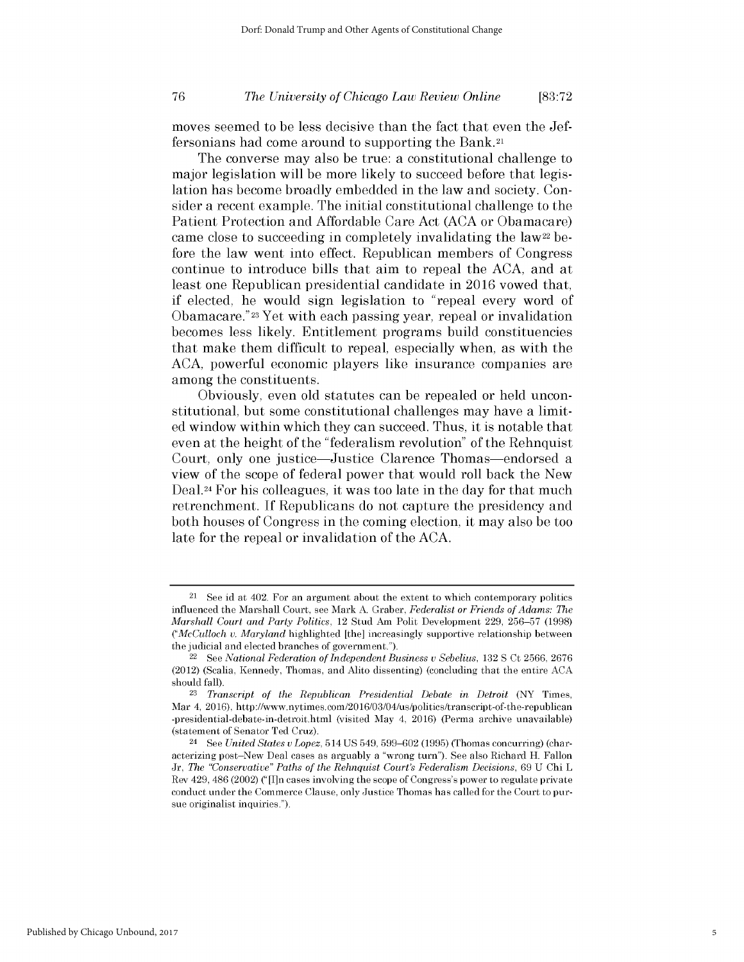### *The University of Chicago Law Review Online* **76 [83:72**

moves seemed to be less decisive than the fact that even the Jeffersonians had come around to supporting the Bank.21

The converse may also be true: a constitutional challenge to major legislation will be more likely to succeed before that legislation has become broadly embedded in the law and society. Consider a recent example. The initial constitutional challenge to the Patient Protection and Affordable Care Act **(ACA** or Obamacare) came close to succeeding in completely invalidating the law<sup>22</sup> before the law went into effect. Republican members of Congress continue to introduce bills that aim to repeal the **ACA,** and at least one Republican presidential candidate in **2016** vowed that, if elected, he would sign legislation to "repeal every word of Obamacare."23 Yet with each passing year, repeal or invalidation becomes less likely. Entitlement programs build constituencies that make them difficult to repeal, especially when, as with the **ACA,** powerful economic players like insurance companies are among the constituents.

Obviously, even old statutes can be repealed or held unconstitutional, but some constitutional challenges may have a limited window within which they can succeed. Thus, it is notable that even at the height of the "federalism revolution" of the Rehnquist Court, only one justice-Justice Clarence Thomas-endorsed a view of the scope of federal power that would roll back the New Deal.24 For his colleagues, it was too late in the day for that much retrenchment. **If** Republicans do not capture the presidency and both houses of Congress in the coming election, it may also be too late for the repeal or invalidation of the **ACA.**

 $21$  See id at 402. For an argument about the extent to which contemporary politics influenced the Marshall Court, see Mark **A.** Graber, *Federalist or Friends of Adams: The Marshall Court and Party Politics,* 12 Stud Am Polit Development **229, 256-57 (1998)** *("McCulloch v. Maryland* highlighted [the] increasingly supportive relationship between the judicial and elected branches of government.").

<sup>22</sup>See *National Federation of Independent Business v Sebelius,* **132 S** Ct **2566, 2676** (2012) (Scalia, Kennedy, Thomas, and Alito dissenting) (concluding that the entire **ACA** should fall).

**<sup>23</sup>***Transcript of the Republican Presidential Debate in Detroit* (NY Times, Mar 4, 2016), http://www.nytimes.com/2016/03/04/us/politics/transcript-of-the-republican -presidential-debate-in-detroit.html (visited May 4, 2016) (Perma archive unavailable) (statement of Senator **Ted** Cruz).

<sup>24</sup> See *United States v Lopez,* **514 US** 549, **599-602 (1995)** (Thomas concurring) (characterizing post-New Deal cases as arguably a "wrong turn"). **See** also Richard H. Fallon *Jr, The "Conservative" Paths of the Rehnquist Court's Federalism Decisions,* **69 U** Chi L Rev 429, 486 (2002) ("[I]n cases involving the scope of Congress's power to regulate private conduct under the Commerce Clause, only Justice Thomas has called for the Court to pursue originalist inquiries.").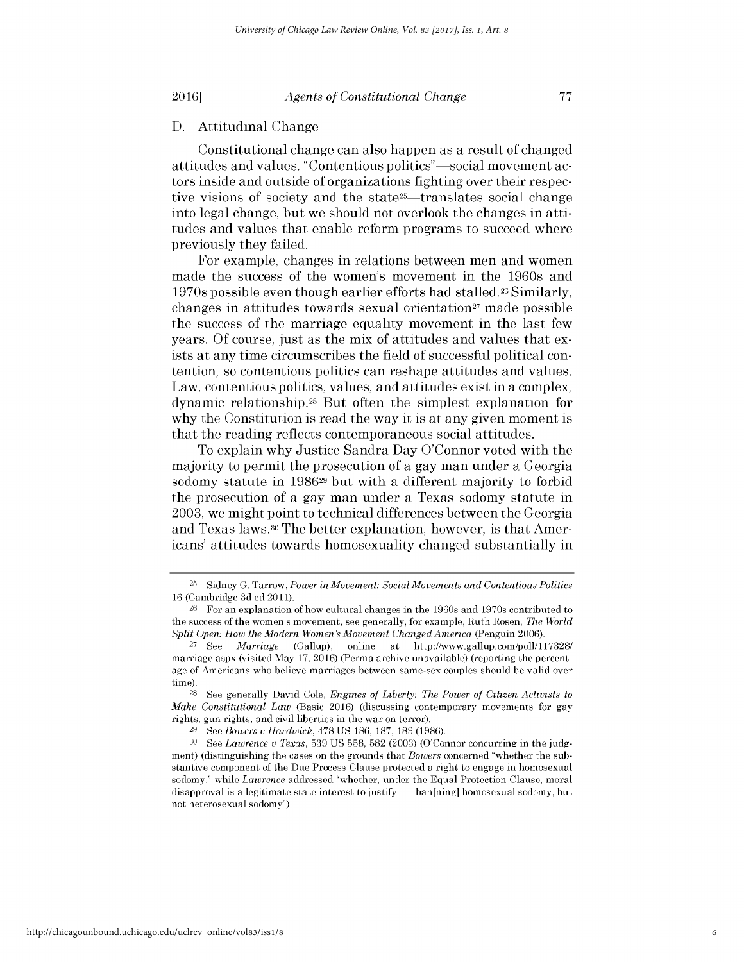#### **D.** Attitudinal Change

Constitutional change can also happen as a result of changed attitudes and values. "Contentious politics"—social movement actors inside and outside of organizations fighting over their respective visions of society and the state<sup>25</sup>—translates social change into legal change, but we should not overlook the changes in attitudes and values that enable reform programs to succeed where previously they failed.

For example, changes in relations between men and women made the success of the women's movement in the 1960s and 1970s possible even though earlier efforts had stalled.26 Similarly, changes in attitudes towards sexual orientation $27$  made possible the success of the marriage equality movement in the last few years. **Of** course, just as the mix of attitudes and values that exists at any time circumscribes the field of successful political contention, so contentious politics can reshape attitudes and values. Law, contentious politics, values, and attitudes exist in a complex, dynamic relationship.28 But often the simplest explanation for why the Constitution is read the way it is at any given moment **is** that the reading reflects contemporaneous social attitudes.

To explain why Justice Sandra Day O'Connor voted with the majority to permit the prosecution of a gay man under a Georgia sodomy statute in **198629** but with a different majority to forbid the prosecution of a gay man under a Texas sodomy statute in **2003,** we might point to technical differences between the Georgia and Texas laws.30 The better explanation, however, is that Americans' attitudes towards homosexuality changed substantially in

**<sup>25</sup>**Sidney **G.** Tarrow, *Power in Movement: Social Movements and Contentious Politics* **16** (Cambridge **3d ed 2011).**

**<sup>26</sup>**For an explanation of how cultural changes in the 1960s and 1970s contributed to the success of the women's movement, see generally, for example, Ruth Rosen, *The World Split Open: How the Modern Women's Movement Changed America (Penguin 2006).* 

**<sup>27</sup>**See *Marriage* (Gallup), online at http://www.gallup.com/poll/117328/ marriage.aspx (visited May **17,** 2016) (Perma archive unavailable) (reporting the percentage of Americans who believe marriages between same-sex couples should **be** valid over time).

**<sup>28</sup>**See generally David Cole, *Engines of Liberty: The Power of Citizen Activists to Make Constitutional Law* (Basic 2016) (discussing contemporary movements for gay rights, gun rights, and civil liberties in the war on terror).

**<sup>29</sup>**See *Bowers v Hardwick,* **478 US 186, 187, 189 (1986).**

**<sup>30</sup> See** *Lawrence v Texas,* **539 US 558, 582 (2003)** (O'Connor concurring in the **judg**ment) (distinguishing the cases on the grounds that *Bowers* concerned "whether the substantive component of the Due Process Clause protected a right to engage in homosexual sodomy," while *Lawrence* addressed "whether, under the Equal Protection Clause, moral disapproval is a legitimate state interest to justify **.. .** ban[ning] homosexual sodomy, but not heterosexual sodomy").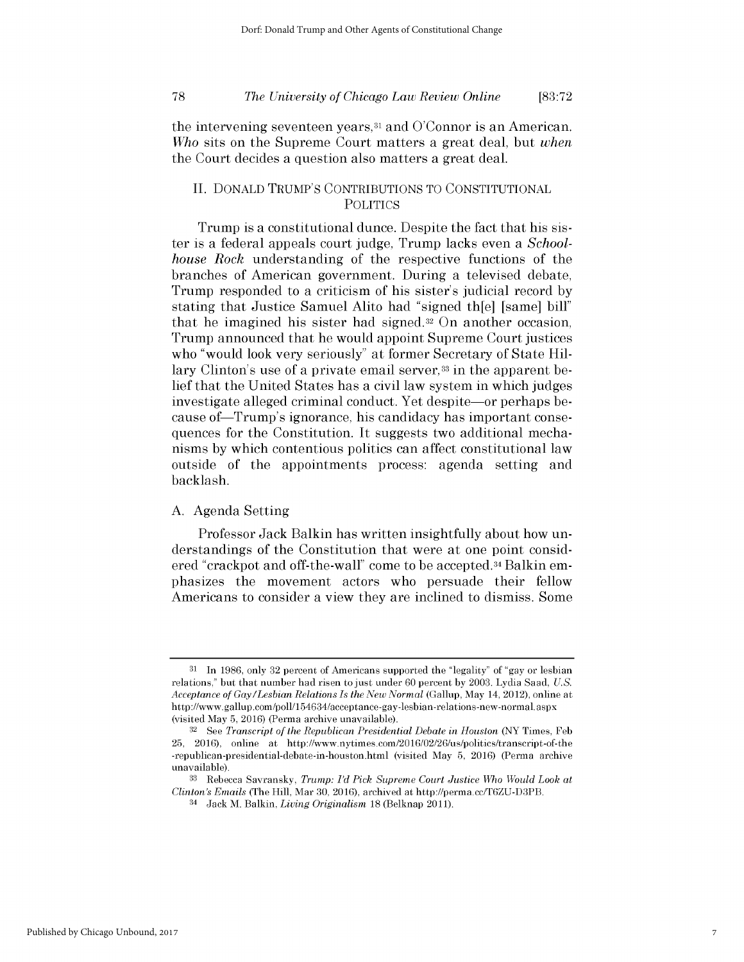*The University of Chicago Law Review Online* **78 [83:72**

the intervening seventeen years,<sup>31</sup> and O'Connor is an American. *Who* sits on the Supreme Court matters a great deal, but *when* the Court decides a question also matters a great deal.

# **II. DONALD** TRUMP'S **CONTRIBUTIONS** TO **CONSTITUTIONAL POLITICS**

Trump is a constitutional dunce. Despite the fact that his *sis*ter is a federal appeals court judge, Trump lacks even a *Schoolhouse Rock* understanding of the respective functions of the branches of American government. During a televised debate, Trump responded to a criticism of his sister's judicial record **by** stating that Justice Samuel Alito had "signed th[e] [same] **bill"** that he imagined his sister had signed.32 On another occasion, Trump announced that he would appoint Supreme Court justices who "would look very seriously" at former Secretary of State Hillary Clinton's use of a private email server,<sup>33</sup> in the apparent belief that the United States has a civil law system in which judges investigate alleged criminal conduct. Yet despite—or perhaps because of Trump's ignorance, his candidacy has important consequences for the Constitution. It suggests two additional mechanisms **by** which contentious politics can affect constitutional law outside of the appointments process: agenda setting and backlash.

#### **A.** Agenda Setting

Professor Jack Balkin has written insightfully about how understandings of the Constitution that were at one point considered "crackpot and off-the-wall" come to be accepted.34 Balkin emphasizes the movement actors who persuade their fellow Americans to consider a view they are inclined to dismiss. Some

**<sup>31</sup>**In **1986,** only **32** percent of Americans supported the "legality" of "gay or lesbian relations," but that number had risen to just under **60** percent **by 2003.** Lydia Saad, *U.S. Acceptance of Gay/Lesbian Relations Is the New Normal* (Gallup, May 14, 2012), online at http://www.gallup.com/poll/154634/acceptance-gay-lesbian-relations-new-normal.aspx (visited May **5,** 2016) (Perma archive unavailable).

**<sup>32</sup>**See *Transcript of the Republican Presidential Debate in Houston* (NY Times, **Feb 25,** 2016), online at http://www.nytimes.com/2016/02/26/us/politics/transcript-of-the -republican-presidential-debate-in-houston.html (visited May **5,** 2016) (Perma archive unavailable).

**<sup>33</sup>**Rebecca Savransky, *Trump: I'd Pick Supreme Court Justice Who Would Look at Clinton's Emails* (The Hill, Mar **30,** 2016), archived at http://perma.cc/T6ZU-D3PB.

<sup>&</sup>lt;sup>34</sup> Jack M. Balkin, *Living Originalism* **18** (Belknap 2011).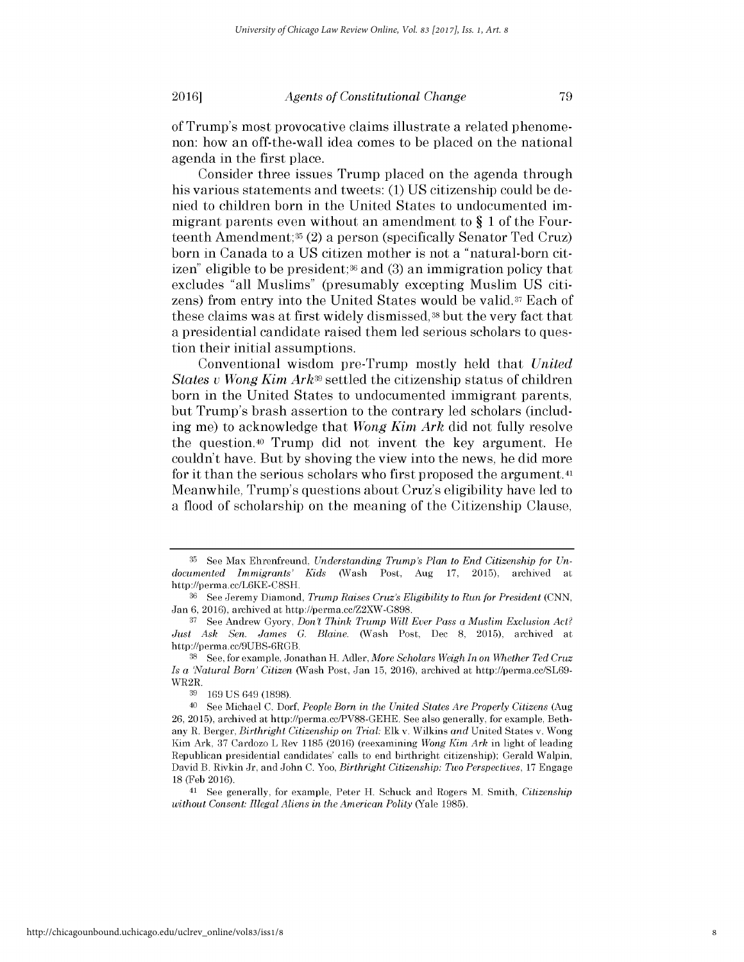of Trump's most provocative claims illustrate a related phenomenon: how an off-the-wall idea comes to be placed on the national agenda in the first place.

Consider three issues Trump placed on the agenda through his various statements and tweets: **(1) US** citizenship could be denied to children born in the United States to undocumented immigrant parents even without an amendment to **§ 1** of the Fourteenth Amendment;35 (2) a person (specifically Senator Ted Cruz) born in Canada to a **US** citizen mother is not a "natural-born citizen" eligible to be president;36 and **(3)** an immigration policy that excludes "all Muslims" (presumably excepting Muslim **US** citizens) from entry into the United States would be valid.37 Each of these claims was at first widely dismissed, **38** but the very fact that a presidential candidate raised them led serious scholars to question their initial assumptions.

Conventional wisdom pre-Trump mostly held that *United States v Wong Kim Ark39* settled the citizenship status of children born in the United States to undocumented immigrant parents, but Trump's brash assertion to the contrary led scholars (including me) to acknowledge that *Wong Kim Ark* **did** not fully resolve the question.40 Trump **did** not invent the key argument. He couldn't have. But **by** shoving the view into the news, he **did** more for it than the serious scholars who first proposed the argument. <sup>41</sup> Meanwhile, Trump's questions about Cruz's eligibility have led to a flood of scholarship on the meaning of the Citizenship Clause,

**<sup>35</sup>** See Max Ehrenfreund, *Understanding Trump's Plan to End Citizenship for Undocumented Immigrants' Kids* (Wash Post, Aug **17, 2015),** archived at http://perma.cc/L6KE-C8SH.

**<sup>36</sup>See** Jeremy Diamond, *Trump Raises Cruz's Eligibility to Run for President (CNN,* Jan **6,** 2016), archived at http://perma.cc/Z2XW-G898.

**<sup>37</sup>**See Andrew Gyory, *Don't Think Trump Will Ever Pass a Muslim Exclusion Act? Just Ask Sen. James G. Blaine.* (Wash Post, **Dec 8, 2015),** archived at http://perma.cc/9UBS-6RGB.

**<sup>38</sup>See,** for example, Jonathan H. Adler, *More Scholars Weigh In on Whether Ted Cruz Is a 'Natural Born' Citizen* (Wash Post, Jan **15,** 2016), archived at http://perma.cc/SL69-  $\frac{\text{WR2R}}{39}$ .

**<sup>39 169</sup> US** 649 **(1898).**

<sup>40</sup>**See** Michael **C.** *Dorf, People Born in the United States Are Properly Citizens* (Aug 26, **2015),** archived at http://perma.cc/PV88-GEHE. **See** also generally, for example, Bethany R. Berger, *Birthright Citizenship on Trial:* **Elk** v. Wilkins *and* United States v. Wong Kim Ark, **37** Cardozo L Rev **1185** (2016) (reexamining *Wong Kim Ark* in light of leading Republican presidential candidates' calls to end birthright citizenship); Gerald Walpin, David B. Rivkin Jr, and John **C.** *Yoo, Birthright Citizenship: Two Perspectives,* **17** Engage **18 (Feb** 2016).

<sup>41</sup>**See** generally, for example, Peter H. Schuck and Rogers M. Smith, *Citizenship without Consent: Illegal Aliens in the American Polity* (Yale **1985).**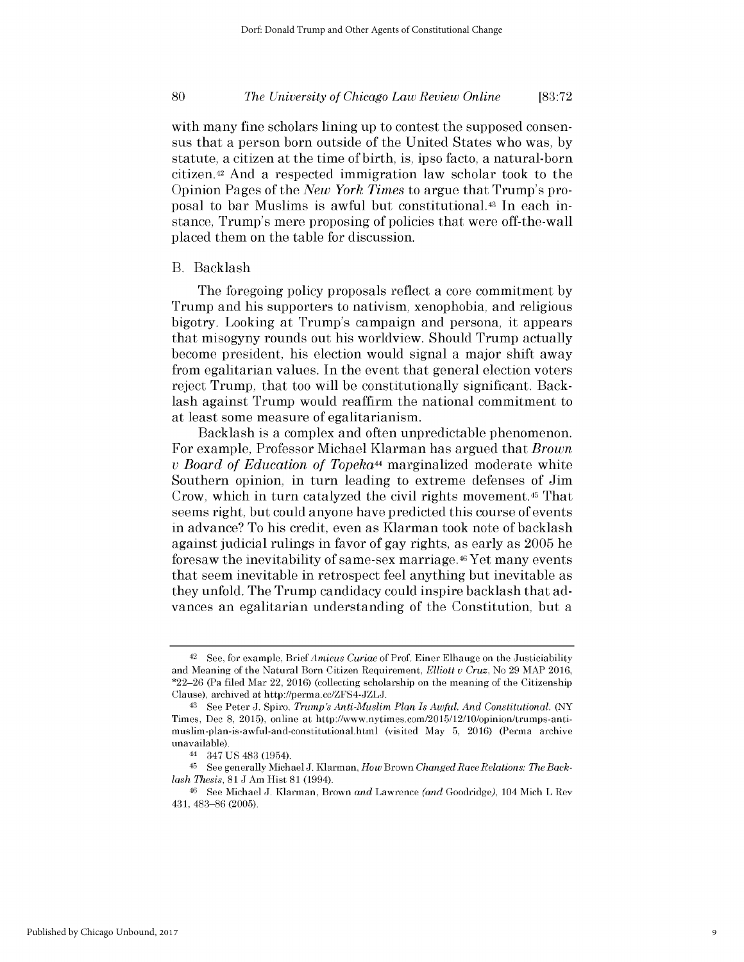### *The University of Chicago Law Review Online* **80 [83:72**

with many fine scholars lining up to contest the supposed consensus that a person born outside of the United States who was, **by** statute, a citizen at the time of birth, is, ipso facto, a natural-born citizen.42 And a respected immigration law scholar took to the Opinion Pages of the *New York Times* to argue that Trump's proposal to bar Muslims is awful but constitutional.43 In each instance, Trump's mere proposing of policies that were off-the-wall placed them on the table for discussion.

#### B. Backlash

The foregoing policy proposals reflect a core commitment **by** Trump and his supporters to nativism, xenophobia, and religious bigotry. Looking at Trump's campaign and persona, it appears that misogyny rounds out his worldview. Should Trump actually become president, his election would signal a major shift away from egalitarian values. In the event that general election voters reject Trump, that too will be constitutionally significant. Backlash against Trump would reaffirm the national commitment to at least some measure of egalitarianism.

Backlash is a complex and often unpredictable phenomenon. For example, Professor Michael Klarman has argued that *Brown <sup>v</sup>Board of Education of Topeka44* marginalized moderate white Southern opinion, in turn leading to extreme defenses of **Jim** Crow, which in turn catalyzed the civil rights movement. <sup>45</sup>That seems right, but could anyone have predicted this course of events in advance? To his credit, even as Klarman took note of backlash against judicial rulings in favor of gay rights, as early as **2005** he foresaw the inevitability of same-sex marriage.46 Yet many events that seem inevitable in retrospect feel anything but inevitable as they unfold. The Trump candidacy could inspire backlash that advances an egalitarian understanding of the Constitution, but a

<sup>42</sup> See, for example, *Brief Amicus Curiae* of Prof. Einer Elhauge on the Justiciability and Meaning of the Natural Born Citizen Requirement, *Elliott u Cruz,* No **29** MAP 2016, \*22-26 (Pa **filed** Mar 22, 2016) (collecting scholarship on the meaning of the Citizenship Clause), archived at http://perma.cc/ZFS4-JZLJ.

<sup>&</sup>lt;sup>43</sup> See Peter J. Spiro, *Trump's Anti-Muslim Plan Is Awful. And Constitutional.* (NY Times, **Dec 8, 2015),** online at http://www.nytimes.com/2015/12/10/opinion/trumps-antimuslim-plan-is-awful-and-constitutional.html (visited May **5,** 2016) (Perma archive unavailable).

<sup>44</sup>347 **US** 483 (1954).

<sup>45</sup> See generally Michael **J.** Klarman, *How Brown Changed Race Relations: The Backlash Thesis,* **81 J** Am Hist **81** (1994).

<sup>46</sup> See Michael **J.** Klarman, Brown *and* Lawrence *(and* Goodridge), 104 Mich L Rev **431, 483-86 (2005).**